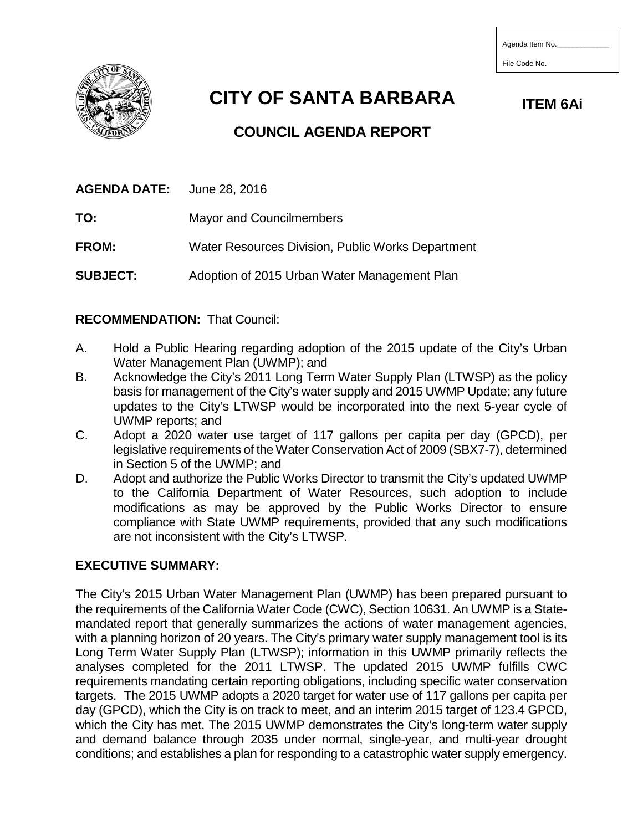| Agenda Item No. |  |  |  |
|-----------------|--|--|--|
|                 |  |  |  |

File Code No.



# **CITY OF SANTA BARBARA**

**ITEM 6Ai**

## **COUNCIL AGENDA REPORT**

| <b>AGENDA DATE:</b> | June 28, 2016 |
|---------------------|---------------|
|---------------------|---------------|

**TO:** Mayor and Councilmembers

**FROM:** Water Resources Division, Public Works Department

**SUBJECT:** Adoption of 2015 Urban Water Management Plan

#### **RECOMMENDATION:** That Council:

- A. Hold a Public Hearing regarding adoption of the 2015 update of the City's Urban Water Management Plan (UWMP); and
- B. Acknowledge the City's 2011 Long Term Water Supply Plan (LTWSP) as the policy basis for management of the City's water supply and 2015 UWMP Update; any future updates to the City's LTWSP would be incorporated into the next 5-year cycle of UWMP reports; and
- C. Adopt a 2020 water use target of 117 gallons per capita per day (GPCD), per legislative requirements of the Water Conservation Act of 2009 (SBX7-7), determined in Section 5 of the UWMP; and
- D. Adopt and authorize the Public Works Director to transmit the City's updated UWMP to the California Department of Water Resources, such adoption to include modifications as may be approved by the Public Works Director to ensure compliance with State UWMP requirements, provided that any such modifications are not inconsistent with the City's LTWSP.

### **EXECUTIVE SUMMARY:**

The City's 2015 Urban Water Management Plan (UWMP) has been prepared pursuant to the requirements of the California Water Code (CWC), Section 10631. An UWMP is a Statemandated report that generally summarizes the actions of water management agencies, with a planning horizon of 20 years. The City's primary water supply management tool is its Long Term Water Supply Plan (LTWSP); information in this UWMP primarily reflects the analyses completed for the 2011 LTWSP. The updated 2015 UWMP fulfills CWC requirements mandating certain reporting obligations, including specific water conservation targets. The 2015 UWMP adopts a 2020 target for water use of 117 gallons per capita per day (GPCD), which the City is on track to meet, and an interim 2015 target of 123.4 GPCD, which the City has met. The 2015 UWMP demonstrates the City's long-term water supply and demand balance through 2035 under normal, single-year, and multi-year drought conditions; and establishes a plan for responding to a catastrophic water supply emergency.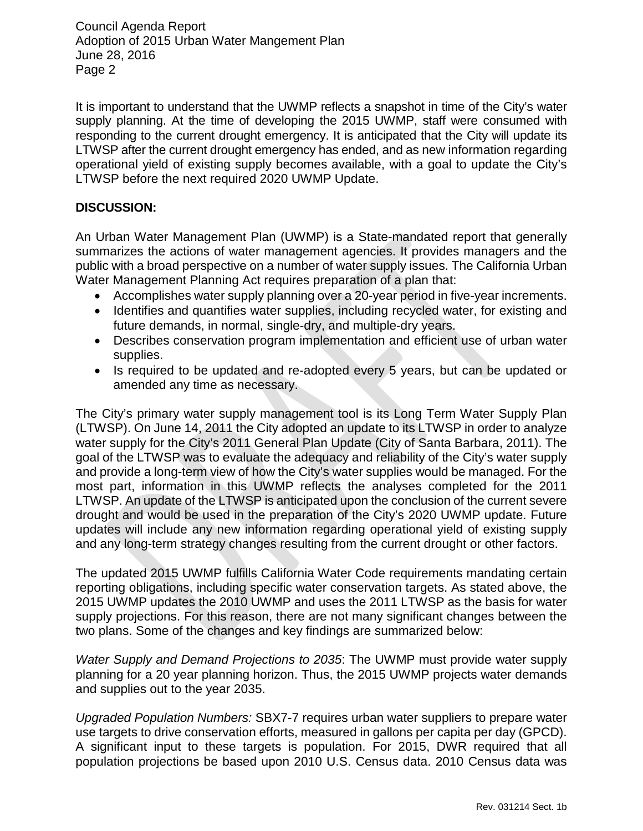Council Agenda Report Adoption of 2015 Urban Water Mangement Plan June 28, 2016 Page 2

It is important to understand that the UWMP reflects a snapshot in time of the City's water supply planning. At the time of developing the 2015 UWMP, staff were consumed with responding to the current drought emergency. It is anticipated that the City will update its LTWSP after the current drought emergency has ended, and as new information regarding operational yield of existing supply becomes available, with a goal to update the City's LTWSP before the next required 2020 UWMP Update.

#### **DISCUSSION:**

An Urban Water Management Plan (UWMP) is a State-mandated report that generally summarizes the actions of water management agencies. It provides managers and the public with a broad perspective on a number of water supply issues. The California Urban Water Management Planning Act requires preparation of a plan that:

- Accomplishes water supply planning over a 20-year period in five-year increments.
- Identifies and quantifies water supplies, including recycled water, for existing and future demands, in normal, single-dry, and multiple-dry years.
- Describes conservation program implementation and efficient use of urban water supplies.
- Is required to be updated and re-adopted every 5 years, but can be updated or amended any time as necessary.

The City's primary water supply management tool is its Long Term Water Supply Plan (LTWSP). On June 14, 2011 the City adopted an update to its LTWSP in order to analyze water supply for the City's 2011 General Plan Update (City of Santa Barbara, 2011). The goal of the LTWSP was to evaluate the adequacy and reliability of the City's water supply and provide a long-term view of how the City's water supplies would be managed. For the most part, information in this UWMP reflects the analyses completed for the 2011 LTWSP. An update of the LTWSP is anticipated upon the conclusion of the current severe drought and would be used in the preparation of the City's 2020 UWMP update. Future updates will include any new information regarding operational yield of existing supply and any long-term strategy changes resulting from the current drought or other factors.

The updated 2015 UWMP fulfills California Water Code requirements mandating certain reporting obligations, including specific water conservation targets. As stated above, the 2015 UWMP updates the 2010 UWMP and uses the 2011 LTWSP as the basis for water supply projections. For this reason, there are not many significant changes between the two plans. Some of the changes and key findings are summarized below:

*Water Supply and Demand Projections to 2035*: The UWMP must provide water supply planning for a 20 year planning horizon. Thus, the 2015 UWMP projects water demands and supplies out to the year 2035.

*Upgraded Population Numbers:* SBX7-7 requires urban water suppliers to prepare water use targets to drive conservation efforts, measured in gallons per capita per day (GPCD). A significant input to these targets is population. For 2015, DWR required that all population projections be based upon 2010 U.S. Census data. 2010 Census data was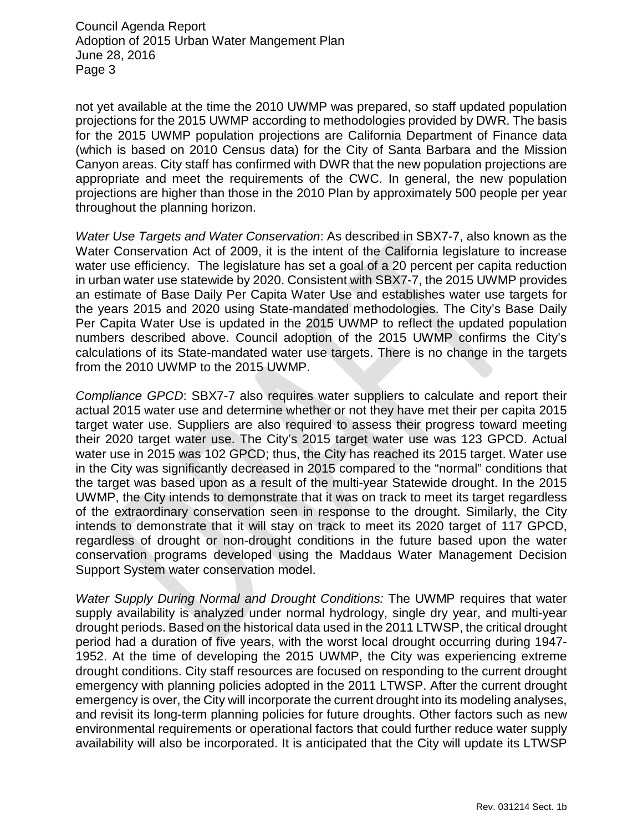Council Agenda Report Adoption of 2015 Urban Water Mangement Plan June 28, 2016 Page 3

not yet available at the time the 2010 UWMP was prepared, so staff updated population projections for the 2015 UWMP according to methodologies provided by DWR. The basis for the 2015 UWMP population projections are California Department of Finance data (which is based on 2010 Census data) for the City of Santa Barbara and the Mission Canyon areas. City staff has confirmed with DWR that the new population projections are appropriate and meet the requirements of the CWC. In general, the new population projections are higher than those in the 2010 Plan by approximately 500 people per year throughout the planning horizon.

*Water Use Targets and Water Conservation*: As described in SBX7-7, also known as the Water Conservation Act of 2009, it is the intent of the California legislature to increase water use efficiency. The legislature has set a goal of a 20 percent per capita reduction in urban water use statewide by 2020. Consistent with SBX7-7, the 2015 UWMP provides an estimate of Base Daily Per Capita Water Use and establishes water use targets for the years 2015 and 2020 using State-mandated methodologies. The City's Base Daily Per Capita Water Use is updated in the 2015 UWMP to reflect the updated population numbers described above. Council adoption of the 2015 UWMP confirms the City's calculations of its State-mandated water use targets. There is no change in the targets from the 2010 UWMP to the 2015 UWMP.

*Compliance GPCD*: SBX7-7 also requires water suppliers to calculate and report their actual 2015 water use and determine whether or not they have met their per capita 2015 target water use. Suppliers are also required to assess their progress toward meeting their 2020 target water use. The City's 2015 target water use was 123 GPCD. Actual water use in 2015 was 102 GPCD; thus, the City has reached its 2015 target. Water use in the City was significantly decreased in 2015 compared to the "normal" conditions that the target was based upon as a result of the multi-year Statewide drought. In the 2015 UWMP, the City intends to demonstrate that it was on track to meet its target regardless of the extraordinary conservation seen in response to the drought. Similarly, the City intends to demonstrate that it will stay on track to meet its 2020 target of 117 GPCD, regardless of drought or non-drought conditions in the future based upon the water conservation programs developed using the Maddaus Water Management Decision Support System water conservation model.

*Water Supply During Normal and Drought Conditions:* The UWMP requires that water supply availability is analyzed under normal hydrology, single dry year, and multi-year drought periods. Based on the historical data used in the 2011 LTWSP, the critical drought period had a duration of five years, with the worst local drought occurring during 1947- 1952. At the time of developing the 2015 UWMP, the City was experiencing extreme drought conditions. City staff resources are focused on responding to the current drought emergency with planning policies adopted in the 2011 LTWSP. After the current drought emergency is over, the City will incorporate the current drought into its modeling analyses, and revisit its long-term planning policies for future droughts. Other factors such as new environmental requirements or operational factors that could further reduce water supply availability will also be incorporated. It is anticipated that the City will update its LTWSP